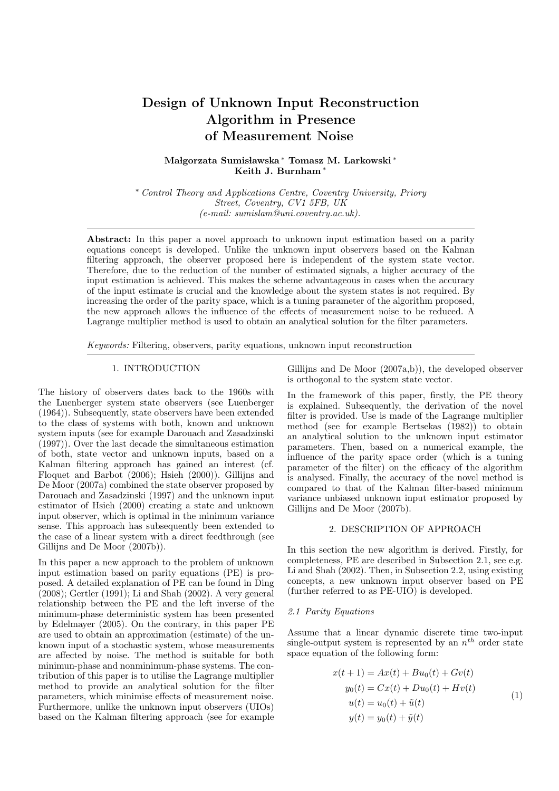# Design of Unknown Input Reconstruction Algorithm in Presence of Measurement Noise

# Małgorzata Sumisławska\* Tomasz M. Larkowski\* Keith J. Burnham <sup>∗</sup>

<sup>∗</sup> Control Theory and Applications Centre, Coventry University, Priory Street, Coventry, CV1 5FB, UK (e-mail: sumislam@uni.coventry.ac.uk).

Abstract: In this paper a novel approach to unknown input estimation based on a parity equations concept is developed. Unlike the unknown input observers based on the Kalman filtering approach, the observer proposed here is independent of the system state vector. Therefore, due to the reduction of the number of estimated signals, a higher accuracy of the input estimation is achieved. This makes the scheme advantageous in cases when the accuracy of the input estimate is crucial and the knowledge about the system states is not required. By increasing the order of the parity space, which is a tuning parameter of the algorithm proposed, the new approach allows the influence of the effects of measurement noise to be reduced. A Lagrange multiplier method is used to obtain an analytical solution for the filter parameters.

Keywords: Filtering, observers, parity equations, unknown input reconstruction

# 1. INTRODUCTION

The history of observers dates back to the 1960s with the Luenberger system state observers (see Luenberger (1964)). Subsequently, state observers have been extended to the class of systems with both, known and unknown system inputs (see for example Darouach and Zasadzinski (1997)). Over the last decade the simultaneous estimation of both, state vector and unknown inputs, based on a Kalman filtering approach has gained an interest (cf. Floquet and Barbot (2006); Hsieh (2000)). Gillijns and De Moor (2007a) combined the state observer proposed by Darouach and Zasadzinski (1997) and the unknown input estimator of Hsieh (2000) creating a state and unknown input observer, which is optimal in the minimum variance sense. This approach has subsequently been extended to the case of a linear system with a direct feedthrough (see Gillijns and De Moor (2007b)).

In this paper a new approach to the problem of unknown input estimation based on parity equations (PE) is proposed. A detailed explanation of PE can be found in Ding (2008); Gertler (1991); Li and Shah (2002). A very general relationship between the PE and the left inverse of the minimum-phase deterministic system has been presented by Edelmayer (2005). On the contrary, in this paper PE are used to obtain an approximation (estimate) of the unknown input of a stochastic system, whose measurements are affected by noise. The method is suitable for both minimun-phase and nonminimum-phase systems. The contribution of this paper is to utilise the Lagrange multiplier method to provide an analytical solution for the filter parameters, which minimise effects of measurement noise. Furthermore, unlike the unknown input observers (UIOs) based on the Kalman filtering approach (see for example Gillijns and De Moor (2007a,b)), the developed observer is orthogonal to the system state vector.

In the framework of this paper, firstly, the PE theory is explained. Subsequently, the derivation of the novel filter is provided. Use is made of the Lagrange multiplier method (see for example Bertsekas (1982)) to obtain an analytical solution to the unknown input estimator parameters. Then, based on a numerical example, the influence of the parity space order (which is a tuning parameter of the filter) on the efficacy of the algorithm is analysed. Finally, the accuracy of the novel method is compared to that of the Kalman filter-based minimum variance unbiased unknown input estimator proposed by Gillijns and De Moor (2007b).

# 2. DESCRIPTION OF APPROACH

In this section the new algorithm is derived. Firstly, for completeness, PE are described in Subsection 2.1, see e.g. Li and Shah (2002). Then, in Subsection 2.2, using existing concepts, a new unknown input observer based on PE (further referred to as PE-UIO) is developed.

#### 2.1 Parity Equations

Assume that a linear dynamic discrete time two-input single-output system is represented by an  $n^{th}$  order state space equation of the following form:

$$
x(t+1) = Ax(t) + Bu_0(t) + Gv(t)
$$
  
\n
$$
y_0(t) = Cx(t) + Du_0(t) + Hv(t)
$$
  
\n
$$
u(t) = u_0(t) + \tilde{u}(t)
$$
  
\n
$$
y(t) = y_0(t) + \tilde{y}(t)
$$
\n(1)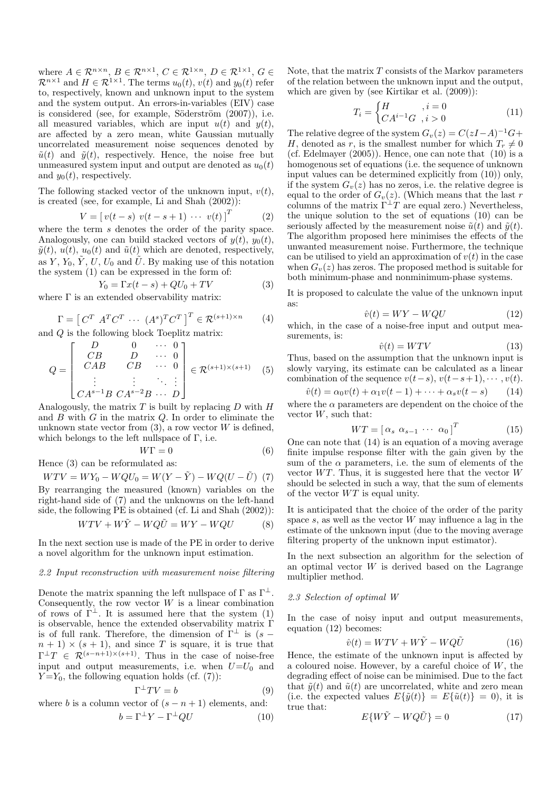where  $A \in \mathcal{R}^{n \times n}$ ,  $B \in \mathcal{R}^{n \times 1}$ ,  $C \in \mathcal{R}^{1 \times n}$ ,  $D \in \mathcal{R}^{1 \times 1}$ ,  $G \in$  $\mathcal{R}^{n\times 1}$  and  $H\in \mathcal{R}^{1\times 1}$ . The terms  $u_0(t)$ ,  $v(t)$  and  $y_0(t)$  refer to, respectively, known and unknown input to the system and the system output. An errors-in-variables (EIV) case is considered (see, for example, Söderström  $(2007)$ ), i.e. all measured variables, which are input  $u(t)$  and  $y(t)$ , are affected by a zero mean, white Gaussian mutually uncorrelated measurement noise sequences denoted by  $\tilde{u}(t)$  and  $\tilde{y}(t)$ , respectively. Hence, the noise free but unmeasured system input and output are denoted as  $u_0(t)$ and  $y_0(t)$ , respectively.

The following stacked vector of the unknown input,  $v(t)$ , is created (see, for example, Li and Shah (2002)):

$$
V = [v(t - s) v(t - s + 1) \cdots v(t)]^{T}
$$
 (2)

where the term s denotes the order of the parity space. Analogously, one can build stacked vectors of  $y(t)$ ,  $y_0(t)$ ,  $\tilde{y}(t)$ ,  $u(t)$ ,  $u_0(t)$  and  $\tilde{u}(t)$  which are denoted, respectively, as Y, Y<sub>0</sub>,  $\tilde{Y}$ , U<sub>0</sub>, U<sub>0</sub> and  $\tilde{U}$ . By making use of this notation the system (1) can be expressed in the form of:

$$
Y_0 = \Gamma x(t - s) + QU_0 + TV
$$
\n<sup>(3)</sup>

where  $\Gamma$  is an extended observability matrix:

$$
\Gamma = \begin{bmatrix} C^T & A^T C^T & \cdots & (A^s)^T C^T \end{bmatrix}^T \in \mathcal{R}^{(s+1)\times n} \tag{4}
$$

and  $Q$  is the following block Toeplitz matrix:

$$
Q = \begin{bmatrix} D & 0 & \cdots & 0 \\ CB & D & \cdots & 0 \\ CAB & CB & \cdots & 0 \\ \vdots & \vdots & \ddots & \vdots \\ CA^{s-1}B & CA^{s-2}B & \cdots & D \end{bmatrix} \in \mathcal{R}^{(s+1)\times(s+1)} \quad (5)
$$

Analogously, the matrix  $T$  is built by replacing  $D$  with  $H$ and  $\widetilde{B}$  with  $G$  in the matrix  $Q$ . In order to eliminate the unknown state vector from  $(3)$ , a row vector W is defined, which belongs to the left nullspace of  $\Gamma$ , i.e.

$$
W\Gamma = 0 \tag{6}
$$

Hence (3) can be reformulated as:

$$
WTV = WY_0 - WQU_0 = W(Y - \tilde{Y}) - WQ(U - \tilde{U})
$$
 (7) By rearranging the measured (known) variables on the right-hand side of (7) and the unknowns on the left-hand side, the following PE is obtained (cf. Li and Shah (2002)):

$$
WTV + W\tilde{Y} - WQ\tilde{U} = WY - WQU \tag{8}
$$

In the next section use is made of the PE in order to derive a novel algorithm for the unknown input estimation.

### 2.2 Input reconstruction with measurement noise filtering

Denote the matrix spanning the left nullspace of  $\Gamma$  as  $\Gamma^{\perp}$ . Consequently, the row vector  $W$  is a linear combination of rows of  $\Gamma^{\perp}$ . It is assumed here that the system (1) is observable, hence the extended observability matrix Γ is of full rank. Therefore, the dimension of  $\Gamma^{\perp}$  is  $(s$  $n + 1$   $\times$  (s + 1), and since T is square, it is true that  $\Gamma^{\perp}T \in \mathcal{R}^{(s-n+1)\times (s+1)}$ . Thus in the case of noise-free input and output measurements, i.e. when  $U=U_0$  and  $Y = Y_0$ , the following equation holds (cf. (7)):

$$
\Gamma^{\perp}TV = b \tag{9}
$$

where b is a column vector of  $(s - n + 1)$  elements, and:  $b = \Gamma^{\perp} Y - \Gamma^{\perp} Q U$  (10) Note, that the matrix  $T$  consists of the Markov parameters of the relation between the unknown input and the output, which are given by (see Kirtikar et al. (2009)):

$$
T_i = \begin{cases} H & i = 0 \\ CA^{i-1}G & i > 0 \end{cases} \tag{11}
$$

The relative degree of the system  $G_v(z) = C(zI-A)^{-1}G +$ H, denoted as r, is the smallest number for which  $T_r \neq 0$ (cf. Edelmayer (2005)). Hence, one can note that (10) is a homogenous set of equations (i.e. the sequence of unknown input values can be determined explicitly from (10)) only, if the system  $G_v(z)$  has no zeros, i.e. the relative degree is equal to the order of  $G_v(z)$ . (Which means that the last r columns of the matrix  $\Gamma^{\perp}$  are equal zero.) Nevertheless, the unique solution to the set of equations (10) can be seriously affected by the measurement noise  $\tilde{u}(t)$  and  $\tilde{y}(t)$ . The algorithm proposed here minimises the effects of the unwanted measurement noise. Furthermore, the technique can be utilised to yield an approximation of  $v(t)$  in the case when  $G_v(z)$  has zeros. The proposed method is suitable for both minimum-phase and nonminimum-phase systems.

It is proposed to calculate the value of the unknown input as:

$$
\hat{v}(t) = WY - WQU \tag{12}
$$

which, in the case of a noise-free input and output measurements, is:

$$
\hat{v}(t) = WTV\tag{13}
$$

Thus, based on the assumption that the unknown input is slowly varying, its estimate can be calculated as a linear combination of the sequence  $v(t-s)$ ,  $v(t-s+1)$ ,  $\cdots$ ,  $v(t)$ .

$$
\hat{v}(t) = \alpha_0 v(t) + \alpha_1 v(t-1) + \dots + \alpha_s v(t-s)
$$
 (14)

where the  $\alpha$  parameters are dependent on the choice of the vector  $W$ , such that:

$$
WT = \begin{bmatrix} \alpha_s & \alpha_{s-1} & \cdots & \alpha_0 \end{bmatrix}^T \tag{15}
$$

One can note that (14) is an equation of a moving average finite impulse response filter with the gain given by the sum of the  $\alpha$  parameters, i.e. the sum of elements of the vector  $WT$ . Thus, it is suggested here that the vector  $W$ should be selected in such a way, that the sum of elements of the vector  $WT$  is equal unity.

It is anticipated that the choice of the order of the parity space s, as well as the vector  $W$  may influence a lag in the estimate of the unknown input (due to the moving average filtering property of the unknown input estimator).

In the next subsection an algorithm for the selection of an optimal vector  $W$  is derived based on the Lagrange multiplier method.

# 2.3 Selection of optimal W

In the case of noisy input and output measurements, equation (12) becomes:

$$
\hat{v}(t) = WTV + W\tilde{Y} - WQ\tilde{U} \tag{16}
$$

Hence, the estimate of the unknown input is affected by a coloured noise. However, by a careful choice of W, the degrading effect of noise can be minimised. Due to the fact that  $\tilde{y}(t)$  and  $\tilde{u}(t)$  are uncorrelated, white and zero mean (i.e. the expected values  $E\{\tilde{y}(t)\} = E\{\tilde{u}(t)\} = 0$ ), it is true that:

$$
E\{W\tilde{Y} - WQ\tilde{U}\} = 0\tag{17}
$$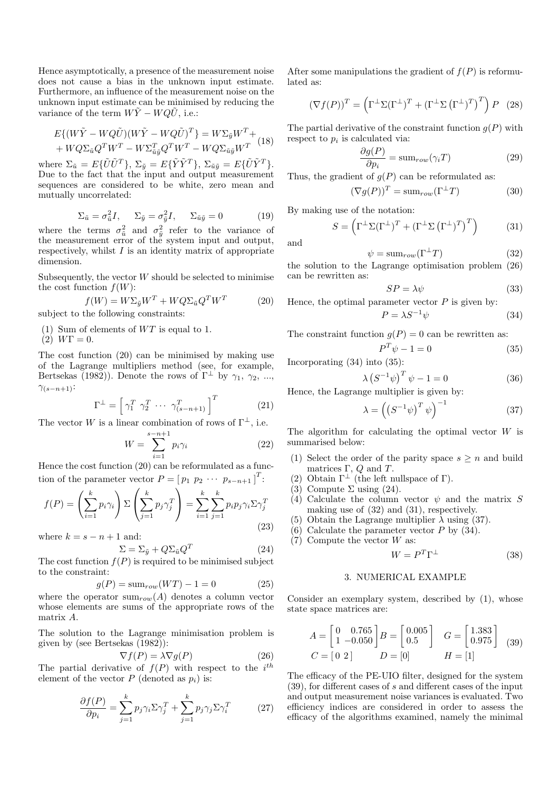Hence asymptotically, a presence of the measurement noise does not cause a bias in the unknown input estimate. Furthermore, an influence of the measurement noise on the unknown input estimate can be minimised by reducing the variance of the term  $W\tilde{Y} - WQ\tilde{U}$ , i.e.:

$$
E\{(W\tilde{Y} - WQ\tilde{U})(W\tilde{Y} - WQ\tilde{U})^T\} = W\Sigma_{\tilde{y}}W^T + WQ\Sigma_{\tilde{u}}Q^T W^T - W\Sigma_{\tilde{u}\tilde{y}}^T Q^T W^T - WQ\Sigma_{\tilde{u}\tilde{y}}W^T
$$
(18)

where  $\Sigma_{\tilde{u}} = E\{\tilde{U}\tilde{U}^T\}$ ,  $\Sigma_{\tilde{y}} = E\{\tilde{Y}\tilde{Y}^T\}$ ,  $\Sigma_{\tilde{u}\tilde{y}} = E\{\tilde{U}\tilde{Y}^T\}$ . Due to the fact that the input and output measurement sequences are considered to be white, zero mean and mutually uncorrelated:

$$
\Sigma_{\tilde{u}} = \sigma_{\tilde{u}}^2 I, \qquad \Sigma_{\tilde{y}} = \sigma_{\tilde{y}}^2 I, \qquad \Sigma_{\tilde{u}\tilde{y}} = 0 \tag{19}
$$

where the terms  $\sigma_{\tilde{u}}^2$  and  $\sigma_{\tilde{y}}^2$  refer to the variance of the measurement error of the system input and output, respectively, whilst  $I$  is an identity matrix of appropriate dimension.

Subsequently, the vector  $W$  should be selected to minimise the cost function  $f(W)$ :

$$
f(W) = W\Sigma_{\tilde{y}}W^T + WQ\Sigma_{\tilde{u}}Q^T W^T
$$
 (20)  
the following constraints:

subject to the following constraints:

- (1) Sum of elements of WT is equal to 1.
- (2)  $W\Gamma = 0$ .

The cost function (20) can be minimised by making use of the Lagrange multipliers method (see, for example, Bertsekas (1982)). Denote the rows of  $\Gamma^{\perp}$  by  $\gamma_1$ ,  $\gamma_2$ , ...,  $\gamma_{(s-n+1)}$ :

$$
\Gamma^{\perp} = \left[ \gamma_1^T \gamma_2^T \cdots \gamma_{(s-n+1)}^T \right]^T \tag{21}
$$

The vector W is a linear combination of rows of  $\Gamma^{\perp}$ , i.e.

$$
W = \sum_{i=1}^{s-n+1} p_i \gamma_i \tag{22}
$$

Hence the cost function (20) can be reformulated as a function of the parameter vector  $P = [p_1 \ p_2 \ \cdots \ p_{s-n+1}]^T$ :

$$
f(P) = \left(\sum_{i=1}^{k} p_i \gamma_i\right) \Sigma \left(\sum_{j=1}^{k} p_j \gamma_j^T\right) = \sum_{i=1}^{k} \sum_{j=1}^{k} p_i p_j \gamma_i \Sigma \gamma_j^T
$$
\n(23)

where  $k = s - n + 1$  and:

$$
\Sigma = \Sigma_{\tilde{y}} + Q \Sigma_{\tilde{u}} Q^T \tag{24}
$$

The cost function  $f(P)$  is required to be minimised subject to the constraint:

$$
g(P) = \text{sum}_{row}(WT) - 1 = 0 \tag{25}
$$

where the operator  $\text{sum}_{row}(A)$  denotes a column vector whose elements are sums of the appropriate rows of the matrix A.

The solution to the Lagrange minimisation problem is given by (see Bertsekas (1982)):

$$
\nabla f(P) = \lambda \nabla g(P) \tag{26}
$$

The partial derivative of  $f(P)$  with respect to the i<sup>th</sup> element of the vector  $P$  (denoted as  $p_i$ ) is:

$$
\frac{\partial f(P)}{\partial p_i} = \sum_{j=1}^k p_j \gamma_i \Sigma \gamma_j^T + \sum_{j=1}^k p_j \gamma_j \Sigma \gamma_i^T \qquad (27)
$$

After some manipulations the gradient of  $f(P)$  is reformulated as:

$$
(\nabla f(P))^T = \left(\Gamma^{\perp} \Sigma (\Gamma^{\perp})^T + (\Gamma^{\perp} \Sigma (\Gamma^{\perp})^T)^T\right) P \quad (28)
$$

The partial derivative of the constraint function  $q(P)$  with respect to  $p_i$  is calculated via:

$$
\frac{\partial g(P)}{\partial p_i} = \text{sum}_{row}(\gamma_i T) \tag{29}
$$

Thus, the gradient of  $q(P)$  can be reformulated as:

$$
(\nabla g(P))^T = \text{sum}_{row}(\Gamma^{\perp}T) \tag{30}
$$

By making use of the notation:

$$
S = \left(\Gamma^{\perp} \Sigma (\Gamma^{\perp})^T + (\Gamma^{\perp} \Sigma (\Gamma^{\perp})^T)\right) \tag{31}
$$

and

$$
\psi = \text{sum}_{row}(\Gamma^{\perp}T) \tag{32}
$$

the solution to the Lagrange optimisation problem (26) can be rewritten as:

$$
SP = \lambda \psi \tag{33}
$$

Hence, the optimal parameter vector  $P$  is given by:

$$
P = \lambda S^{-1} \psi \tag{34}
$$

The constraint function  $g(P) = 0$  can be rewritten as:

$$
P^T \psi - 1 = 0 \tag{35}
$$

Incorporating (34) into (35):

$$
\lambda \left( S^{-1} \psi \right)^T \psi - 1 = 0 \tag{36}
$$

 $(38)$ 

Hence, the Lagrange multiplier is given by:

$$
\lambda = \left( \left( S^{-1} \psi \right)^T \psi \right)^{-1} \tag{37}
$$

The algorithm for calculating the optimal vector  $W$  is summarised below:

- (1) Select the order of the parity space  $s \geq n$  and build matrices  $\Gamma$ ,  $Q$  and  $T$ .
- (2) Obtain  $\Gamma^{\perp}$  (the left nullspace of Γ).
- (3) Compute  $\Sigma$  using (24).
- (4) Calculate the column vector  $\psi$  and the matrix S making use of (32) and (31), respectively.
- (5) Obtain the Lagrange multiplier  $\lambda$  using (37).
- $(6)$  Calculate the parameter vector P by  $(34)$ .
- $(7)$  Compute the vector W as:

3. NUMERICAL EXAMPLE

 $W = P^T \Gamma$ 

Consider an exemplary system, described by (1), whose state space matrices are:

$$
A = \begin{bmatrix} 0 & 0.765 \\ 1 & -0.050 \end{bmatrix} B = \begin{bmatrix} 0.005 \\ 0.5 \end{bmatrix} \quad G = \begin{bmatrix} 1.383 \\ 0.975 \end{bmatrix}
$$
  
\n
$$
C = \begin{bmatrix} 0 & 2 \end{bmatrix} \quad D = \begin{bmatrix} 0 \end{bmatrix} \quad H = \begin{bmatrix} 1 \end{bmatrix}
$$

The efficacy of the PE-UIO filter, designed for the system (39), for different cases of s and different cases of the input and output measurement noise variances is evaluated. Two efficiency indices are considered in order to assess the efficacy of the algorithms examined, namely the minimal